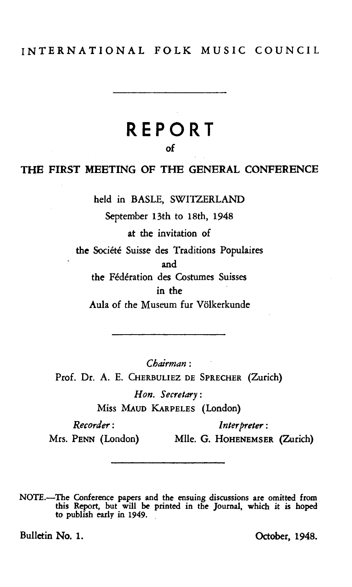# INTERNATIONAL FOLK MUSIC COUNCIL

# **REPORT**

of

### THE FIRST MEETING OF THE GENERAL CONFERENCE

held in BASLE, SWITZERLAND

September 13th to 18th, 1948

at the invitation of

the Société Suisse des Traditions Populaires

and

the Federation des Costumes Suisses in the

Aula of the Museum fur Volkerkunde

*Chairman:*  Prof. Dr. A. E. CHERBULIEZ DE SPRECHER (Zurich) *Hon. Secretary:* 

Miss MAUD KARPELES (London)

*Recorder: Interpreter* :

Mrs. PENN (London) Mile. G. HoHENEMSER (Zurich)

NOTE.-The Conference papers and the ensuing discussions are omitted from this Report, but will be printed in the Journal, which it is hoped to publish early in 1949.

Bulletin No. 1. Corbody 1948.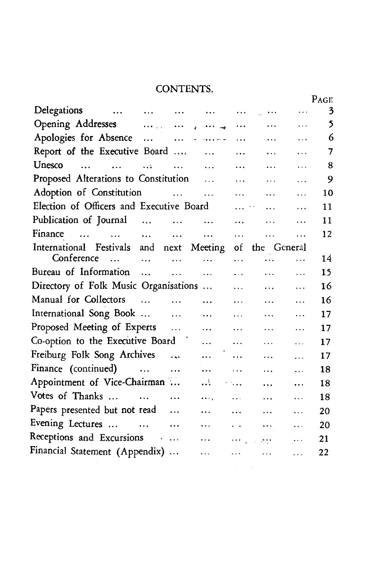# CONTENTS.

|                                          |                                                                                                                                                                                                                                |                                     |                      |                                 |                |               | r vor |
|------------------------------------------|--------------------------------------------------------------------------------------------------------------------------------------------------------------------------------------------------------------------------------|-------------------------------------|----------------------|---------------------------------|----------------|---------------|-------|
| Delegations                              | and the contract of the contract of the contract of the contract of the contract of the contract of the contract of the contract of the contract of the contract of the contract of the contract of the contract of the contra |                                     |                      | $\ldots$                        | $\cdots$       | .             | 3     |
|                                          |                                                                                                                                                                                                                                |                                     |                      | $\cdots$                        | $\cdots$       | $\cdots$      | 5     |
|                                          |                                                                                                                                                                                                                                |                                     |                      | $\ddots$                        | $\cdots$       | .             | 6     |
| Report of the Executive Board            |                                                                                                                                                                                                                                |                                     | $\sim$ $\sim$ $\sim$ | $\ddotsc$                       | $\ldots$       | $\ldots$      | 7     |
| Unesco<br>$\cdots$ $\cdots$              | $\ddotsc$                                                                                                                                                                                                                      | $\cdots$                            | $\sim$ $\sim$ $\sim$ | $\ddotsc$                       | $\ddotsc$      | $\ddotsc$     | 8     |
| Proposed Alterations to Constitution     |                                                                                                                                                                                                                                |                                     |                      | $\ddotsc$                       | $\cdots$       | $\ddotsc$     | 9     |
| Adoption of Constitution                 |                                                                                                                                                                                                                                |                                     |                      | $\ddotsc$                       | $\ddotsc$      | $\ddotsc$     | 10    |
| Election of Officers and Executive Board |                                                                                                                                                                                                                                |                                     |                      | $\mathbf{1}$ , $\mathbf{1}$     | $\ddotsc$      | $\cdots$      | 11    |
| Publication of Journal                   |                                                                                                                                                                                                                                | $\sim 100$ and $\sim 100$           | $\cdots$             | $\ddotsc$                       | $\cdots$       | .             | 11    |
| Finance                                  |                                                                                                                                                                                                                                |                                     | $\ddots$             | $\ddotsc$                       | $\cdots$       | .             | 12    |
| International Festivals and next Meeting |                                                                                                                                                                                                                                |                                     |                      | of                              | the General    |               |       |
| Conference<br>$\dddotsc$                 | $\sim$ $\sim$ $\sim$ $\sim$ $\sim$                                                                                                                                                                                             | $\cdots$                            | .                    | $\cdots$                        | 44             | $\ddotsc$     | 14    |
| Bureau of Information                    |                                                                                                                                                                                                                                | $\ddots$                            | $\cdots$             | $\cdots$                        | $\cdots$       | $\cdots$      | 15    |
| Directory of Folk Music Organisations    |                                                                                                                                                                                                                                |                                     |                      | $\ddotsc$                       | $\cdots$       | .             | 16    |
| Manual for Collectors                    | $\sim$ $\sim$                                                                                                                                                                                                                  | $\sim$ $\sim$                       | $\ddotsc$            | .                               | $\cdots$       | $\ddotsc$     | 16    |
| International Song Book                  |                                                                                                                                                                                                                                |                                     | $\ddotsc$            | $\ddotsc$                       | $\ldots$       | $\ddotsc$     | 17    |
| Proposed Meeting of Experts              |                                                                                                                                                                                                                                |                                     | $\ddotsc$            | $\ddotsc$                       | $\ddotsc$      | $\cdots$      | 17    |
| Co-option to the Executive Board         |                                                                                                                                                                                                                                |                                     | $\cdots$             | $\cdots$                        | $\ddotsc$      | $\ddotsc$     | 17    |
| Freiburg Folk Song Archives              |                                                                                                                                                                                                                                | $\ddotsc$                           | $\cdots$             | $\ddotsc$                       | $\cdots$       | $\ddotsc$     | 17    |
| Finance (continued)                      |                                                                                                                                                                                                                                | $\ddotsc$                           | $\cdots$             | $\mathbf{1}$ , and $\mathbf{1}$ | $\ddotsc$      | $\cdots$      | 18    |
| Appointment of Vice-Chairman             |                                                                                                                                                                                                                                |                                     | .                    | $\sim 100$ km s $^{-1}$         | $\ddotsc$      | $\ddotsc$     | 18    |
| Votes of Thanks                          |                                                                                                                                                                                                                                | $\mathcal{L} = \{1, 2, \ldots, n\}$ | $\cdots$             | <b>Contract Contract</b>        | $\cdots$       | $\ddotsc$     | 18    |
| Papers presented but not read            |                                                                                                                                                                                                                                |                                     | $\cdots$             | $\ddotsc$                       | $\cdots$       | $\cdots$      | 20    |
| Evening Lectures                         |                                                                                                                                                                                                                                | $\sim$ $\sim$                       | $\cdots$             | <b>Contract</b>                 | $\sim 100$     | $\ddotsc$     | 20    |
| Receptions and Excursions                |                                                                                                                                                                                                                                |                                     | $\cdots$             |                                 | een voorzen in | $\sim$ .<br>. | 21    |
| Financial Statement (Appendix)           |                                                                                                                                                                                                                                |                                     | $\ddotsc$            | $\ddotsc$                       | $\ddotsc$      | $\ddotsc$     | 22    |
|                                          |                                                                                                                                                                                                                                |                                     |                      |                                 |                |               |       |
|                                          |                                                                                                                                                                                                                                |                                     |                      |                                 |                |               |       |

PAGE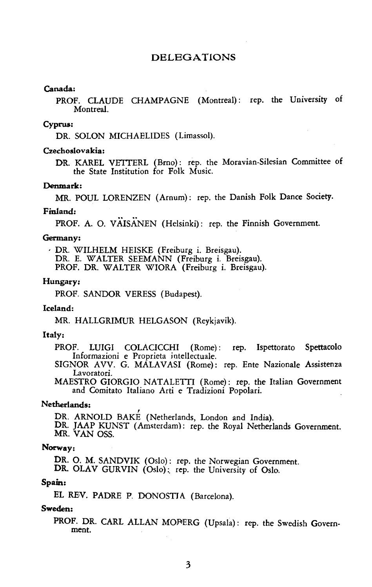#### DELEGATIONS

#### Canada:

PROF. CLAUDE CHAMPAGNE (Montreal): rep. the University of Montreal.

#### Cyprus:

DR. SOLON MICHAEUDES (Limassol).

#### Czechoslovakia:

DR. KAREL VETTERL (Brno): rep. the Moravian-Silesian Committee of the State Institution for Folk Music.

#### Denmark:

MR. POUL LORENZEN (Arnum): rep. the Danish Folk Dance Society.

#### Finland:

PROF. A. O. VAISANEN (Helsinki): rep. the Finnish Government.

#### Germany:

, DR. WILHELM HEISKE (Freiburg i. Breisgau). DR. E. W ALTER SEEMANN (Freiburg i. Breisgau). PROF. DR. WALTER WIORA (Freiburg i. Breisgau).

#### Hungary:

PROF. SANDOR VERESS (Budapest).

#### Iceland:

MR. HALLGRIMUR HELGASON (Reykjavik).

#### Italy:

PROF. LUIGI COLACICCHI (Rome): rep. lspettorato Spettacolo Informazioni e Proprieta iotellectuale.

SIGNOR AVV. G. MÁLAVASI (Rome): rep. Ente Nazionale Assistenza Lavoratori.

MAESTRO GIORGIO NATALETTI (Rome): rep. the Italian Government and Comitato ltaliano Arti e Tradizioni Popolari.

#### Netherlands:

DR. ARNOLD BAKE (Netherlands, London and India).

DR. JAAP KUNST (Amsterdam): rep. the Royal Netherlands Government. MR. VAN OSS.

#### Norway:

DR. O. M. SANDVIK (Oslo): rep. the Norwegian Government.

DR. OLAV GURVIN (Oslo): rep. the University of Oslo.

#### Spain:

EL REV. PADRE P. DONOSTJA (Barcelona).

#### Sweden:

PROF. DR. CARL ALLAN MOFERG (Upsala): rep. the Swedish Government.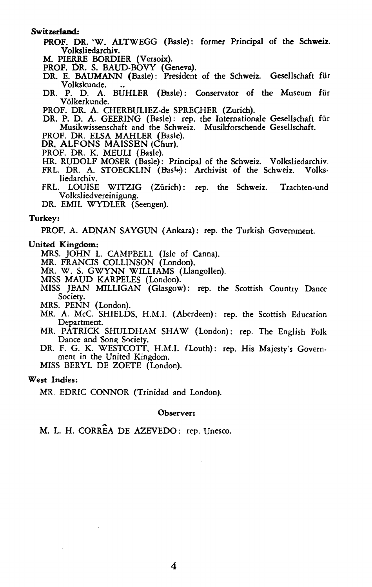#### Switzerland:

PROF. DR. 'W. ALTWEGG (Basle): former Principal of the Schweiz. Volksliedarchiv.

M. PIERRE BORDIER (Versoix).

- PROF. DR. S. BAUD-BOVY (Geneva). DR. E. BAUMANN (Basle): President of the Schweiz. Gesellschaft fiir Volkskunde. .. DR. P. D. A. BUHLER (Basle): Conservator of the Museum fiir
- Volkerkunde.

PROF. DR. A. CHERBULIEZ-de SPRECHER (Zurich).

DR. P. D. A. GEERING (Basle): rep. the Internationale Gesellschaft fiir Musikwissenschaft and the Schweiz. Musikforschende Gesellschaft.

PROF. DR. ELSA MAHLER (Basle).

- DR. ALFONS MAISSEN (Chur).
- PROF. DR. K. MEULI (Basle).
- HR. RUDOLF MOSER (Basle): Principal of the Schweiz. Volksliedarchiv.<br>FRL. DR. A. STOECKLIN (Basle): Archivist of the Schweiz. Volks-
- FRL. DR. A. STOECKLIN (Basle): Archivist of the Schweiz. liedarchiv.
- FRL. LOUISE WITZIG (Zürich): rep. the Schweiz. Trachten-und Volksliedvereinigung.

DR. EMIL WYDLER (Seengen).

#### Turkey:

PROF. A. ADNAN SAYGUN (Ankara): rep. the Turkish Government.

#### United Kingdom:

MRS. JOHN L. CAMPBELL (Isle of Canna).

MR. FRANCIS COLLINSON (London).

MR. W. S. GWYNN WILLIAMS (Llangollen).

MISS MAUD KARPELES (London).

MISS ]BAN MILLIGAN (Glasgow): rep. the Scottish Country Dance Society.

MRS. PENN (London).

MR. A. McC. SHIELDS, H.M.I. (Aberdeen): rep. the Scottish Education Department.

- MR. PATRICK SHULDHAM SHAW (London): rep. The English Folk Dance and Song Society.
- DR. F. G. K. WESTCOTT. H.M.I. (Louth): rep. His Majesty's Government in the United Kingdom.

MISS BERYL DE ZOETE (London).

#### West Indies:

MR. EDRIC CONNOR (Trinidad and London).

#### Observer:

M. L. H. CORREA DE AZEVEDO: rep. Unesco.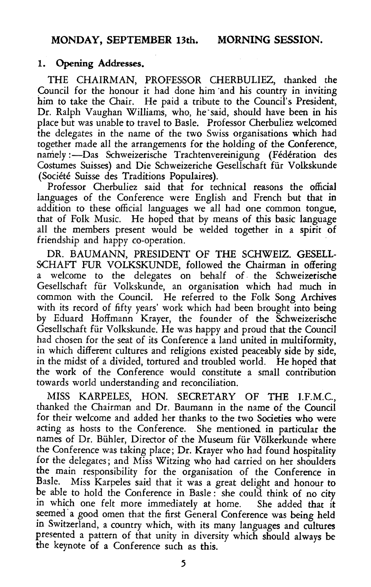### 1. Opening Addresses.

THE CHAIRMAN, PROFESSOR CHERBULIEZ, thanked the Council for the honour it had done him and his country in inviting him to take the Chair. He paid a tribute to the Council's President, Dr. Ralph Vaughan Williams, who, he'said, should have been in his place but was unable to travel to Basle. Professor Cherbuliez welcomed the delegates in the name of the two Swiss organisations which had together made all the arrangements for the holding of the Conference, namely :- Das Schweizerische Trachtenvereinigung (Fédération des Costumes Suisses) and Die Schweizeriche Gesellschaft fiir Volkskunde (Societe Suisse des Traditions Populaires).

Professor Cherbuliez said that for technical reasons the official languages of the Conference were English and French but that in addition to these official languages we all had one common tongue, that of Folk Music. He hoped that by means of this basic language all the members present would be welded together in a spirit of friendship and happy co-operation.

DR. BAUMANN, PRESIDENT OF THE SCHWEIZ. GESELL-SCHAFT FUR VOLKSKUNDE, followed the Chairman in offering a welcome to the delegates on behalf of . the Schweizerische Gesellschaft fiir Volkskunde, an organisation which had much in common with the Council. He referred to the Folk Song Archives with its record of fifty years' work which had been brought into being by Eduard Hoffmann Krayer, the founder of the Schweizerische Gesellschaft fiir Volkskunde. He was happy and proud that the Council had chosen for the seat of its Conference a land united in multiformity, in which different cultures and religions existed peaceably side by side, in the midst of a divided, tortured and troubled world. He hoped that the work of the Conference would constitute a small contribution towards world understanding and reconciliation.

MISS KARPELES, HON. SECRETARY OF THE I.F.M.C., thanked the Chairman and Dr. Baumann in the name of the Council for their welcome and added her thanks to the two Societies who were acting as hosts to the Conference. She mentioned in particular the names of Dr. Bühler, Director of the Museum für Völkerkunde where the Conference was taking place; Dr. Krayer who had found hospitality for the delegates; and Miss Witzing who had carried on her shoulders the main responsibility for the organisation of the Conference in Basle. Miss Karpeles said that it was a great delight and honour to be able to hold the Conference in Basle : she could think of no city in which one felt more immediately at home. She added that it seemed a good omen that the first General Conference was being held in Switzerland, a country which, with its many languages and cultures presented a pattern of that unity in diversity which should always be the keynote of a Conference such as this.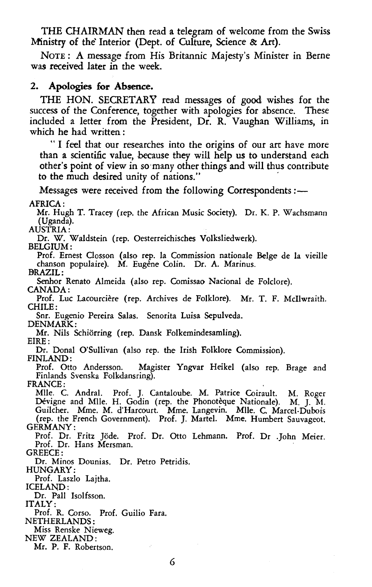THE CHAIRMAN then read a telegram of welcome from the Swiss Ministry of the Interior (Dept. of Culture, Science & Art).

NoTE: A message from His Britannic Majesty's Minister in Berne was received later in the week.

### 2. Apologies for Absence.

THE HON. SECRETARY read messages of good wishes for the success of the Conference, together with apologies for absence. These included a letter from the President, Dr. R. Vaughan Williams, in which he had written :

"I feel that our researches into the origins of our art have more than a scientific value, because they will help us to understand each other's point of view in so· many other things and will thus contribute to the much desired unity of nations."

Messages were received from the following Correspondents:-

AFRICA:

Mr. Hugh T. Tracey (rep. the African Music Society). Dr. K. P. Wachsmann (Uganda).

AUSTRIA:

Dr. W. Waldstein (rep. Oesterreichisches Volksliedwerk).

BELGIUM:

Prof. Ernest Closson (also rep. la Commission nationale Beige de la vieille chanson populaire). M. Eugène Colin. Dr. A. Marinus. BRAZIL:

Senhor Renato Almeida (also rep. Comissao Nacional de Folclore). CANADA:

Prof. Luc Lacourcière (rep. Archives de Folklore). Mr. T. F. McIlwraith. CHILE:

Snr. Eugenio Pereira Salas. Senorita Luisa Sepulveda. DENMARK:

Mr. Nils Schiorring (rep. Dansk Folkemindesamling). EIRE:

Dr. Donal O'Sullivan (also rep. the Irish Folklore Commission).

FINLAND:

Prof. Otto Andersson. Magister Yngvar Heikel (also rep. Brage and Finlands Svenska Folkdansring).

FRANCE:

Mile. C. Andral. Prof. *].* Cantaloube. M. Patrice Coirault. M. Roger Dévigne and Mlle. H. Godin (rep. the Phonotèque Nationale). M. J. M. Guilcher. Mme. M. d'Harcourt. Mme. Langevin. Mile. C. Marcel-Dubois (rep. the French Government). Prof. J. Martel. Mme. Humbert Sauvageot. GERMANY:

Prof. Dr. Fritz Jöde. Prof. Dr. Otto Lehmann. Prof. Dr .John Meier. Prof. Dr. Hans Mersman.

GREECE:

Dr. Minos Dounias. Dr. Petro Petridis.

HUNGARY:

Prof. Laszlo Lajtha.

ICELAND:

Dr. Pall Isolfsson.

ITALY:

Prof. R. Corso. Prof. Guilio Fara.

NETHERLANDS:

Miss Renske Nieweg.

NEW ZEALAND:

Mr. P. F. Robertson.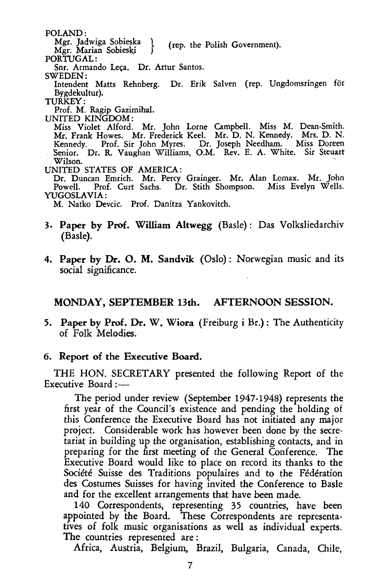POLAND:

Mgr. Jadwiga Sobieska } (rep. the Polish Government). Mgr. Marian Sobieski

PORTIJGAL:

Snr. Armando Leça. Dr. Artur Santos.

SWEDEN:

Intendent Matts Rehnberg. Dr. Erik Salven (rep. Ungdomsringen for Bygdekultur).

TURKEY:

Prof. M. Ragip Gazimihal.

UNITED KINGDOM:

Miss Violet Alford. Mr. John Lorne Campbell. Miss M. Dean-Smith. Mr. Frank Howes. Mr. Frederick Keel. Mr. D. N. Kennedy. Mrs. D. N. Kennedy. Prof. Sir John Myres. Dr. Joseph Needham. Miss Doreen Senior. Dr. R. Vaughan Williams, O.M. Rev. E. A. White. Sir Steuart Wilson.

UNITED STATES OF AMERICA:

Dr. Duncan Emrich. Mr. Percy Grainger. Mr. Alan Lomax. Mr. John Prof. Curt Sachs. Dr. Stith Shompson. Miss Evelyn Wells. YUGOSLAVIA:

M. Natko Devcic. Prof. Danitza Yankovitch.

- 3. Paper by Prof. William Altwegg (Basle): Das Volksliedarchiv (Basle).
- 4. Paper by Dr. O. M. Sandvik (Oslo): Norwegian music and its social significance.

# MONDAY, SEPTEMBER 13th. AFTERNOON SESSION.

5. Paper by Prof. Dr. W. Wiora (Freiburg i Br.): The Authenticity of Folk Melodies.

#### 6. Report of the Executive Board.

THE HON. SECRETARY presented the following Report of the Executive Board :-

The period under review (September 1947-1948) represents the first year of the Council's existence and pending the holding of this Conference the Executive Board has not initiated any major project. Considerable work has however been done by the secretariat in building up the organisation, establishing contacts, and in preparing for the first meeting of the General Conference. The Executive Board would like to place on record its thanks to the Société Suisse des Traditions populaires and to the Fédération des Costumes Suisses for having invited the Conference to Basle and for the excellent arrangements that have been made.

140 Correspondents, representing 35 countries, have been appointed by the Board. These Correspondents are representatives of folk music organisations as well as individual experts. The countries represented are :

Africa, Austria, Belgium, Brazil, Bulgaria, Canada, Chile,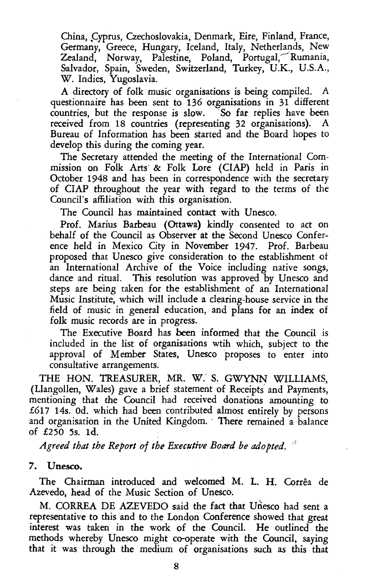China, Cyprus, Czechoslovakia, Denmark, Eire, Finland, France, Germany, Greece, Hungary, Iceland, Italy, Netherlands, New Zealand, Norway, Palestine, Poland, Portugal, Rumania, Salvador, Spain, Sweden, Switzerland, Turkey, U.K., U.S.A., W. Indies, Yugoslavia.

A directory of folk music organisations is being compiled. A questionnaire has been sent to 136 organisations in 31 different countries, but the response is slow. So far replies have been received from 18 countries (representing 32 organisations). A Bureau of Information has been started and the Board hopes to develop this during the coming year.

The Secretary attended the meeting of the International Commission on Folk Arts· & Folk Lore (ClAP) held in Paris in October 1948 and has been in correspondence with the secretary of ClAP throughout the year with regard to the terms of the Council's affiliation with this organisation.

The Council has maintained contact with Unesco.

Prof. Marius Barbeau (Ottawa) kindly consented to act on behalf of the Council as Observer at the Second Unesco Conference held in Mexico City in November 1947. Prof. Barbeau proposed that Unesco give consideration to the establishment ot an International Archive of the Voice including native songs, dance and ritual. This resolution was approved by Unesco and steps are being taken for the establishment of an International Music Institute, which will include a clearing-house service in the field of music in general education, and plans for an index of folk music records are in progress.

The Executive Board has been informed that the Council is included in the list of organisations wtih which, subject to the approval of Member States, Unesco proposes to enter into consultative arrangements.

THE HON. TREASURER, MR. W.' S. GWYNN WILLIAMS, (Llangollen, Wales) gave a brief statement of Receipts' and Payments, mentioning that the Council had received donations amounting to £617 14s. Od. which had been contributed almost entirely by persons and organisation in the United Kingdom. There remained a balance of £250 5s. ld.

Agreed that the Report of the Executive Board be adopted.

#### 7. Unesco.

The Chairman introduced and welcomed M. L. H. Correa de Azevedo, head of the Music Section of Unesco.

M. CORREA DE AZEVEDO said the fact that Unesco had sent a representative to this and to the London Conference showed that great interest was taken in the work of the Council. He outlined the methods whereby Unesco might co-operate with the Council, saying that it was through the medium of organisations such as this that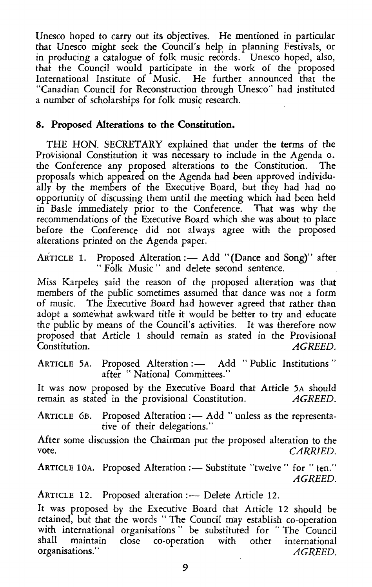Unesco hoped to carry out its objectives. He mentioned in particular that Unesco might seek the Council's help in planning Festivals, or in producing a catalogue of folk music records. Unesco hoped, also, that the Council would participate in the work of the proposed International Institute of Music. He further announced that the "Canadian Council for Reconstruction through Unesco" had instituted a number of scholarships for folk music research.

# **8. Proposed Alterations to the Constitution.**

THE HON. SECRETARY explained that under the terms of the Provisional Constitution it was necessary to include in the Agenda o. the Conference any proposed alterations to the Constitution. The proposals which appeared on the Agenda had been approved individually by the members of the Executive Board, but they had had no opportunity of discussing them until the meeting which had been held in Basle immediately prior to the Conference. That was why the recommendations of the Executive Board which she was about to place before the Conference did not always agree with the proposed alterations printed on the Agenda paper.

ARTICLE 1. Proposed Alteration :- Add "(Dance and Song)" after "Folk Music" and delete second sentence.

Miss Karpeles said the reason of the proposed alteration was that members of the public sometimes assumed that dance was not a form of music. The Executive Board had however agreed that rather than adopt a somewhat awkward title it would be better to try and educate the public by means of the Council's activities. It was therefore now proposed that Article 1 should remain as stated in the Provisional Constitution. AGREED  $AGREED$ .

ARTICLE 5A. Proposed Alteration: - Add "Public Institutions" after "National Committees."

It was now proposed by the Executive Board that Article 5A should remain as stated in the provisional Constitution. *AGREED.* 

ARTICLE 6B. Proposed Alteration: - Add "unless as the representative of their delegations."

After some discussion the Chairman put the proposed alteration to the vote. *CARRIED.* 

ARTICLE 10A. Proposed Alteration:— Substitute "twelve" for "ten." *AGREED.* 

ARTICLE 12. Proposed alteration:- Delete Article 12.

It was proposed by the Executive Board that Article 12 should be retained, but that the words " The Council may establish co-operation with international organisations " be substituted for "The Council<br>shall maintain close co-operation with other international shall maintain close co-operation with organisations.'' *AGREED.*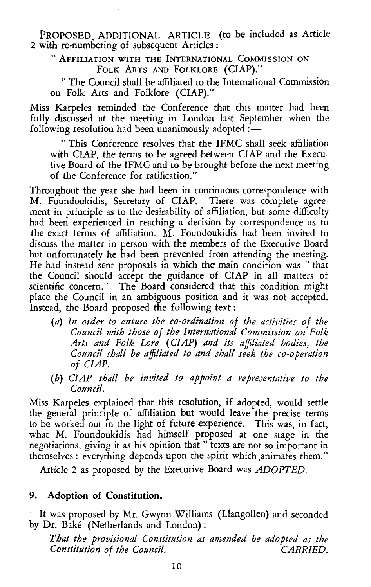PROPOSED. ADDITIONAL ARTICLE (to be included as Article 2 with re-numbering of subsequent Articles :

" AFFILIATION WITH THE INTERNATIONAL CoMMISSION ON FOLK ARTS AND FOLKLORE (ClAP)."

" The Council shall be affiliated to the International Commission on Folk Arts and Folklore (ClAP)."

Miss Karpeles reminded the Conference that this matter had been fully discussed at the meeting in London last September when the following resolution had been unanimously adopted: $\frac{1}{1}$ 

" This Conference resolves that the IFMC shall seek affiliation with CIAP, the terms to be agreed between CIAP and the Executive Board of the IFMC and to be brought before the next meeting of the Conference for ratification."

Throughout the year she had been in continuous correspondence with M. Foundoukidis, Secretary of ClAP. There was complete agreement in principle as to the desirability of affiliation, but some difficulty had been experienced in reaching a decision by correspondence as to the exact terms of affiliation. M:. Foundoukidis had been invited to discuss the matter in person with the members of the Executive Board but unfortunately he had been prevented from attending the meeting. He had instead sent proposals in which the main condition was "that the Council should accept the guidance of ClAP in all matters of scientific concern." The Board considered that this condition might place the Council in an ambiguous position and it was not accepted. Instead, the Board proposed the following text :

- (a) *In order to ensure the co-ordination of the activities of the Council with those of the International Commission on Folk Arts and Folk Lore (ClAP) and its affiliated bodies, the Council shall be affiliated to and shall seek the co-operation of ClAP.*
- (b) *ClAP shall be invited to appoint a representative to the Council.*

Miss Karpeles explained that this resolution, if adopted, would settle the general principle of affiliation but would leave the precise terms to be worked out in the light of future experience. This was, in fact, what M. Foundoukidis had himself proposed at one stage in the negotiations, giving it as his opinion that " texts are not so important in themselves : everything depends upon the spirit which animates them."

Article 2 as proposed by the Executive Board was *ADOPTED.* 

# 9. Adoption of Constitution.

It was proposed by Mr. Gwynn Williams (Llangollen) and seconded by Dr. Bake (Netherlands and London) :

*That the provisional Constitution as amended be adopted as the Constitution of the Council. CARRIED.*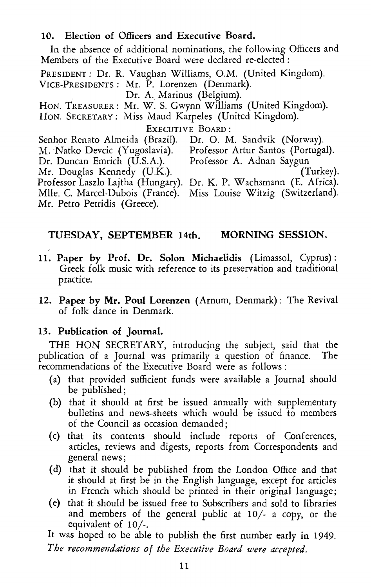# 10. Election of Officers and Executive Board.

In the absence of additional nominations, the following Officers and Members of the Executive Board were declared re-elected :

PRESIDENT : Dr. R. Vaughan Williams, O.M. (United Kingdom). VICE-PRESIDENTS : Mr. P. Lorenzen (Denmark).

Dr. A. Marinus (Belgium).

HoN. TREASURER: Mr. W. S. Gwynn Williams (United Kingdom).

HoN. SECRETARY: Miss Maud Karpeles (United Kingdom).

Executive Board:<br>(Brazil). Dr. O. M. Sandvik (Norway). Senhor Renato Almeida (Brazil). Dr. O. M. Sandvik (Norway).<br>M. Natko Devcic (Yugoslavia). Professor Artur Santos (Portugal). M. Natko Devcic (Yugoslavia). Professor Artur Santos (Port<br>Dr. Duncan Emrich (U.S.A.). Professor A. Adnan Saygun Dr. Duncan Emrich (U.S.A.). Professor A. Adnan Saygun Mr. Douglas Kennedy  $(U.K.)$ . Professor Laszlo Lajtha (Hungary). Dr. K. P. Wachsmann (E. Africa). Mlle. C. Marcel-Dubois (France). Miss Louise Witzig (Switzerland). Mr. Petro Petridis (Greece).

# TUESDAY, SEPTEMBER 14th. MORNING SESSION.

- 11. Paper by Prof. Dr. Solon Michaelidis (Limassol, Cyprus): Greek folk music with reference to its preservation and traditional practice.
- 12. Paper by Mr. Poul Lorenzen ( Arnum, Denmark) : The Revival of folk dance in Denmark.

### 13. Publication of Journal.

THE HON SECRETARY, introducing the subject, said that the publication of a Journal was primarily a question of finance. The recommendations of the Executive Board were as follows :

- (a) that provided sufficient funds were available a Journal should be published;
- (b) that it should at first be issued annually with supplementary bulletins and news-sheets which would be issued to members of the Council as occasion demanded ;
- (c) that its contents should include reports of Conferences, articles, reviews and digests, reports from Correspondents and general news;
- (d) that it should be published from the London Office and that it should at first be in the English language, except for articles in French which should be printed in their original language;
- (e) that it should be issued free to Srubscribers and sold to libraries and members of the general public at 10/- a copy, or the equivalent of 10/-.

It was hoped to be able to publish the first number early in 1949. *The recommendations of the Executive Board were accepted.*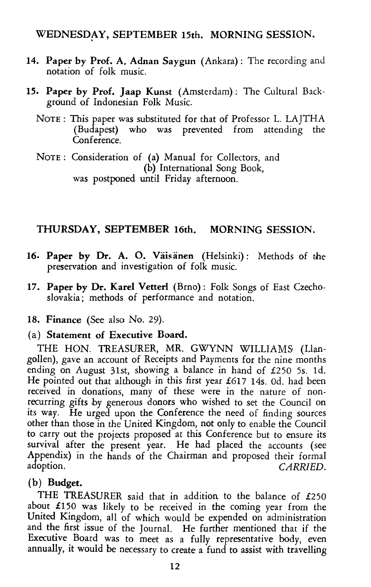# WEDNESDAY, SEPTEMBER 15th. MORNING SESSION.

- 14. Paper by Prof. A. Adnan Saygun (Ankara): The recording and notation of folk music.
- 15. Paper by Prof. Jaap Kunst (Amsterdam): The Cultural Background of Indonesian Folk Music.
	- NoTE: This paper was substituted for that of Professor L. LAJTHA (Budapest) who was prevented from attending the Conference.

NoTE : Consideration of (a) Manual for Collectors, and (b) International Song Book, was postponed until Friday afternoon.

# THURSDAY, SEPTEMBER 16th. MORNING SESSION.

- 16. Paper by Dr. A. O. Väisänen (Helsinki): Methods of the preservation and investigation of folk music.
- 17. Paper by Dr. Karel Vetterl (Brno): Folk Songs of East Czechoslovakia; methods of performance and notation.
- 18. Finance (See also No. 29).

### (a) Statement of Executive Board.

THE HON. TREASURER, MR. GWYNN WILLIAMS (Llangollen), gave an account of Receipts and Payments for the nine months ending on August 31st, showing a balance in hand of £250 Ss. ld. He pointed out that although in this first year  $£617$  14s. 0d. had been received in donations, many of these were in the nature of nonrecurring gifts by generous donors who wished to set the Council on its way. He urged upon the Conference the need of finding sources other than those in the United Kingdom, not only to enable the Council to carry out the projects proposed at this Conference but to ensure its survival after the present year. He had placed the accounts (see Appendix) in the hands of the Chairman and proposed their formal adoption. *CARRIED*. CARRIED.

#### (b) Budget.

THE TREASURER said that in addition to the balance of £250 about £150 was likely to be received in the coming year from the United Kingdom, all of which would be expended on administration and the first issue of the Journal. He further mentioned that if the Executive Board was to meet as a fully representative body, even annually, it would be necessary to create a fund to assist with travelling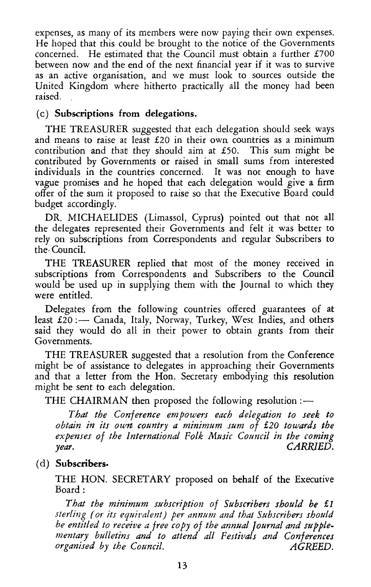expenses, as many of its members were now paying their own expenses. He hoped that this could be brought to the notice of the Governments concerned. He estimated that the Council must obtain a further £700 between now and the end of the next financial year if it was to survive as an active organisation, and we must look to sources outside the United Kingdom where hitherto practically all the money had been raised.

### (c) Subscriptions from delegations.

THE TREASURER suggested that each delegation should seek ways and means to raise at least £20 in their own countries as a minimum contribution and that they should aim at £50. This sum might be contributed by Governments or raised in small sums from interested individuals in the countries concerned. It was not enough to have vague promises and he hoped that each delegation would give a firm offer of the sum it proposed to raise so that the Executive Board could budget accordingly.

DR. MICHAELIDES (Limassol, Cyprus) pointed out that not all the delegates represented their Governments and felt it was better to rely on subscriptions from Correspondents and regular Subscribers to the· Council.

THE TREASURER replied that most of the money received in subscriptions from Correspondents and Subscribers to the Council would be used up in supplying them with the Journal to which they were entitled.

Delegates from the following countries offered guarantees of at least  $£20 :=$  Canada, Italy, Norway, Turkey, West Indies, and others said they would do all in their power to obtain grants from their Governments.

THE TREASURER suggested that a resolution from the Conference might be of assistance to delegates in approaching their Governments and that a letter from the Hon. Secretary embodying this resolution might be sent to each delegation.

THE CHAIRMAN then proposed the following resolution  $:$   $-$ 

*That the Conference empowers each delegation to seek to obtain in its own country a minimum sum of £20 towards the expenses of the International Folk Music Council in the coming year. CARRIED.* 

# (d) Subscribers·

THE HON. SECRETARY proposed on behalf of the Executive Board:

*That the minimum snbscription of Subscribers should be £1 sterling (or its equit'alent) per annum and that S.ubscribers should be entitled to receive a free copy of the annual Journal and supplementary bulletins and to attend all Festit,afs and Conferences organised by the Council. AGREED.*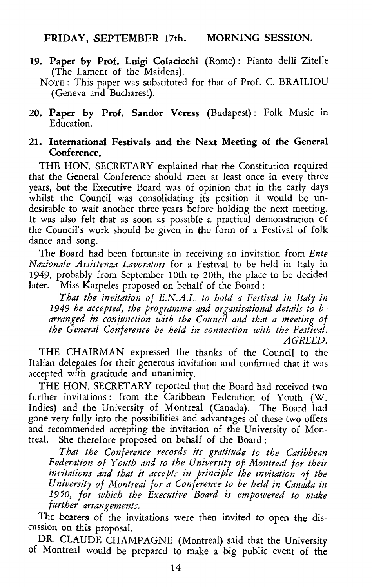- 19. Paper by Prof. Luigi Colacicchi (Rome) : Pianto delli Zitelle (The Lament of the Maidens).
	- NoTE : This paper was substituted for that of Prof. C. BRAILIOU (Geneva and Bucharest).
- 20. Paper by Prof. Sandor Veress (Budapest): Folk Music in Education.

### 21. International Festivals and the Next Meeting of the General Conference.

THE HON. SECRETARY explained that the Constitution required that the General Conference should meet at least once in every three years, hut the Executive Board was of opinion that in the early days whilst the Council was consolidating its position it would be undesirable to wait another three years before holding the next meeting. It was also felt that as soon as possible a practical demonstration of the Council's work should be given in the form of a Festival of folk dance and song.

The Board had been fortunate in receiving an invitation from *Ente Nazionale Assistenza Lavoratori* for a Festival to be held in Italy in 1949, probably from September lOth to 20th, the place to be decided later. Miss Karpeles proposed on behalf of the Board:

*That the invitation of E.N.A.L. to hold a Festival in Italy in 1949 be accepted, the programme and organisational details to b* · arranged in conjunction with the Council and that a meeting of *the General Conference be held in connection with the Festival. AGREED.* 

THE CHAIRMAN expressed the thanks of the Council to the Italian delegates for their generous invitation and confirmed that it was accepted with gratitude and unanimity.

THE HON. SECRETARY reported that the Board had received two further invitations : from the Caribbean Federation of Youth (W. Indies) and the University of Montreal (Canada). The Board had gone very fully into the possibilities and advantages of these two offers and recommended accepting the invitation of the University of Montreal. She therefore proposed on behalf of the Board :

*That the Conference records its gratitude to the Caribbean Federation of Youth and to the University of Montreal for their invitations and that it accepts in principle the invitation of the University of Montreal for a Conference to be held in Canada in 1950, for which the Executive Board is empowered to make*  further arrangements.

The bearers of the invitations were then invited to open the discussion on this proposal.

DR. CLAUDE CHAMPAGNE (Montreal) said that the University of Montreal would be prepared to make a big public event of the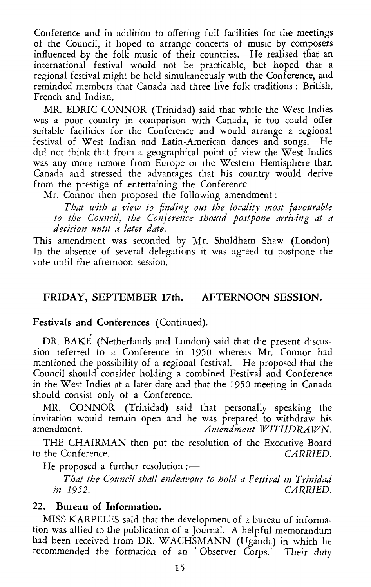Conference and in addition to offering full facilities for the meetings of the Council, it hoped to arrange concerts of music by composers influenced by the folk music of their countries. He realised that an international festival would not be practicable, but hoped that a regional festival might be held simultaneously with the Conference, and reminded members that Canada had three live folk traditions : British, French and Indian.

MR. EDRIC CONNOR (Trinidad) said that while the West Indies was a poor country in comparison with Canada, it too could offer suitable facilities for the Conference and would arrange a regional festival of West Indian and Latin-American dances and songs. He did not think that from a geographical point of view the West Indies was any more remote from Europe or the Western Hemisphere than Canada and stressed the advantages that his country would derive from the prestige of entertaining the Conference.

Mr. Connor then proposed the following amendment :

That with a view to finding out the locality most favourable to the Council, the Conference should postpone arriving at a *.decision until a later date.* 

This amendment was seconded by Mr. Shuldham Shaw (London). In the absence of several delegations it was agreed to postpone the vote until the afternoon session.

# FRIDAY, SEPTEMBER 17th. AFTERNOON SESSION.

### Festivals and Conferences (Continued).

DR. BAKE (Netherlands and London) said that the present discussion referred to a Conference in 1950 whereas Mr. Connor had mentioned the possibility of a regional festival. He proposed that the Council should consider holding a combined Festival and Conference in the West Indies at a later date and that the 1950 meeting in Canada should consist only of a Conference.

MR. CONNOR (Trinidad) said that personally speaking the invitation would remain open and he was prepared to withdraw his amendment. *Amendment WITHDRAWN.* 

THE CHAIRMAN then put the resolution of the Executive Board to the Conference. *CARRIED.* 

He proposed a further resolution: $-$ 

*That the Council shall endeavour to hold a Festival in Trinidad in 1952. CARRIED.* 

# 22. Bureau of Information.

MISS KARPELES said that the development of a bureau of information was allied to the publication of a Journal. A helpful memorandum had been received from DR. WACHSMANN (Uganda) in which he recommended the formation of an 'Observer Corps.' Their duty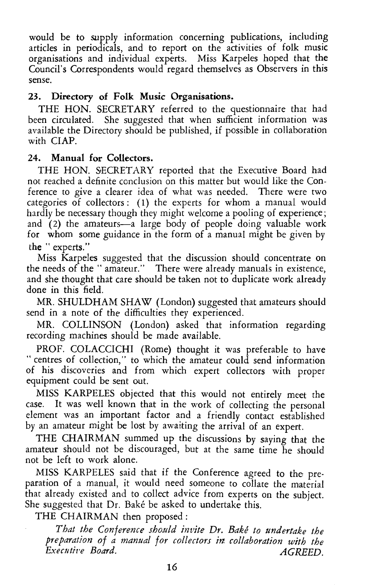would be to supply information concerning publications, including articles in periodicals, and to report on the activities of folk music organisations and individual experts. Miss Karpeles hoped that the Council's Correspondents would regard themselves as Observers in this sense.

# 23. Directory of Folk Music Organisations.

THE HON. SECRETARY referred to the questionnaire that had been circulated. She suggested that when sufficient information was available the Directory should be published, if possible in collaboration with ClAP.

# 24. Manual for Collectors.

THE HON. SECRETARY reported that the Executive Board had not reached a definite conclusion on this matter but would like the Conference to give a clearer idea of what was needed. There were two categories of collectors: (1) the experts for whom a manual would hardly be necessary though they might welcome a pooling of experience; and (2) the amateurs-a large body of people doing valuable work for whom some guidance in the form of a manual might be given by the "experts."

Miss Karpeles suggested that the discussion should concentrate on the needs of the " amateur." There were already manuals in existence, and she thought that care should be taken not to duplicate work already done in this field.

MR. SHULDHAM SHAW (London) suggested that amateurs should send in a note of the difficulties they experienced.

MR. COLLINSON (London) asked that information regarding recording machines should be made available.

PROF. COLACCICHI (Rome) thought it was preferable to have " centres of collection," to which the amateur could send information of his discoveries and from which expert collectors with proper equipment could be sent out.

MISS KARPELES objected that this would not entirely meet the case. It was well known that in the work of collecting the personal element was an important factor and a friendly contact established by an amateur might be lost by awaiting the arrival of an expert.

THE CHAIRMAN summed up the discussions by saying that the amateur should not be discouraged, but at the same time he should not be left to work alone.

MISS KARPELES said that if the Conference agreed to the preparation of a manual, it would need someone to collate the material that already existed and to collect advice from experts on the subject. She suggested that Dr. Bake be asked to undertake this.

THE CHAIRMAN then proposed:

*That the Conference sho.uld invite Dr. Bake to undertake the preparation of a manual for collectors in collaboration with the Executive Board.* AGREED.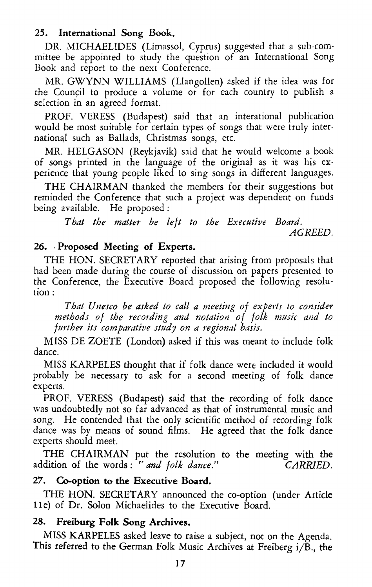# 25. International Song Book.

DR. MICHAELIDES (Limassol, Cyprus) suggested that a sub-committee be appointed to study the question of an International Song Book and report to the next Conference.

MR. GWYNN WILLIAMS (Llangollen) asked if the idea was for the Council to produce a volume or for each country to publish a selection in an agreed format.

PROF. VERESS (Budapest) said that an interational publication would be most suitable for certain types of songs that were truly international such as Ballads, Christmas songs, etc.

MR. HELGASON (Reykjavik) said that he would welcome a book of songs printed in the language of the original as it was his experience that young people liked to sing songs in different languages.

THE CHAIRMAN thanked the members for their suggestions but reminded the Conference that such a project was dependent on funds being available. He proposed :

*That the matter be left to the Executive Board. AGREED.* 

# 26. -Proposed Meeting of Experts.

THE HON. SECRETARY reported that arising from proposals that had been made during the course of discussion on papers presented to the Conference, the Executive Board proposed the following resolution:

*That Unesco be asked to call a meeting of experts to consider methods of the recording and notation of folk music and to further its comparative study on a regional basis.* 

MISS DE ZOETE (London) asked if this was meant to include folk dance.

MISS KARPELES thought that if folk dance were included it would probably be necessary to ask for a second meeting of folk dance experts.

PROF. VERESS (Budapest) said that the recording of folk dance was undoubtedly not so far advanced as that of instrumental music and song. He contended that the only scientific method of recording folk dance was by means of sound films. He agreed that the folk dance experts should meet.

THE CHAIRMAN put the resolution to the meeting with the addition of the words: " and folk dance." CARRIED.

#### 27. Co-option to the Executive Board.

THE HON. SECRETARY announced the eo-option (under Article lle) of Dr. Solon Michaelides to the Executive Board.

# 28. Freiburg Folk Song Archives.

MISS KARPELES asked leave to raise a subject, not on the Agenda. This referred to the German Folk Music Archives at Freiberg *ijB.,* the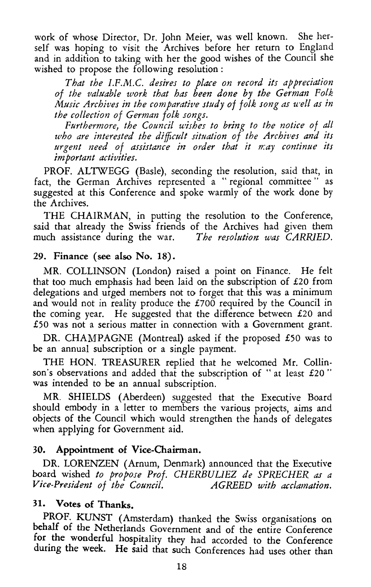work of whose Director, Dr. John Meier, was well known. She herself was hoping to visit the Archives before her return to England and in addition to taking with her the good wishes of the Council she wished to propose the following resolution :

That the I.F.M.C. desires to place on record its appreciation *of the va!Jtable work that has been done by the German Folk Music Archives in the comparative study of folk song as u·ell as in the collection of German folk songs.* 

*Furthermore, the Council wishes to bring to the notice of all who are interested the difficult situation of the Archives and its*  urgent need of assistance in order that it may continue its *important activities.* 

PROF. ALTWEGG (Basle), seconding the resolution, said that, in fact, the German Archives represented a "regional committee" as suggested at this Conference and spoke warmly of the work done by the Archives.

THE CHAIRMAN, in putting the resolution to the Conference, said that already the Swiss friends of the Archives had given them much assistance during the war. *The resolution was CARRIED.* 

### 29. Finance (see also No. 18).

MR. COLLINSON (London) raised a point on Finance. He felt that too much emphasis had been laid on the subscription of £20 from delegations and urged members not to forget that this was a minimum and would not in reality produce the  $£700$  required by the Council in the coming year. He suggested that the difference between £20 and £50 was not a serious matter in connection with a Government grant.

DR. CHAMPAGNE (Montreal) asked if the proposed £50 was to be an annual subscription or a single payment.

THE HON. TREASURER replied that he welcomed Mr. Collinson's observations and added that the subscription of "at least  $£20$ " was intended to be an annual subscription.

MR. SHIELDS (Aberdeen) suggested that the Executive Board should embody in a letter to members the various projects, aims and objects of the Council which would strengthen the hands of delegates when applying for Government aid.

### 30. Appointment of Vice-Chairman.

DR. LORENZEN (Arnum, Denmark) announced that the Executive board wished *to propose Prof. CHERBULIEZ de SPRECHER as a Vice-President of the Council. AGREED with acclamation.* 

# 31. Votes of Thanks.

PROF. KUNST (Amsterdam) thanked the Swiss organisations on behalf of the Netherlands Government and of the entire Conference for the wonderful hospitality they had accorded to the Conference during the week. He said that such Conferences had uses other than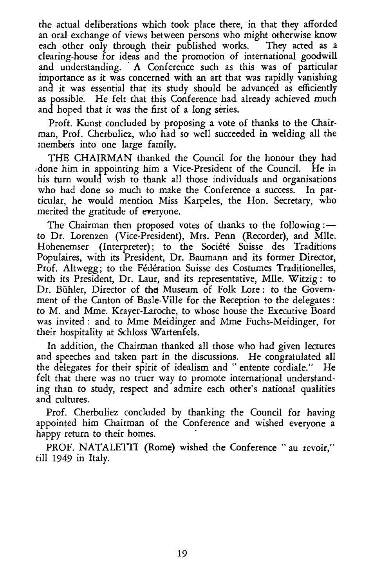the actual deliberations which took place there, in that they afforded an oral exchange of views between persons who might otherwise know each other only through their published works. They acted as a clearing-house for ideas and the promotion of international goodwill and understanding. A Conference such as this was of particular importance as it was concerned with an art that was rapidly vanishing and it was essential that its study should be advanced as efficiently as possible. He felt that this Conference had already achieved much and hoped that it was the first of a long series.

Proft. Kunst concluded by proposing a vote of thanks to the Chairman, Prof. Cherbuliez, who had so well succeeded in welding all the members into one large family.

THE CHAIRMAN thanked the Council for the honour they had ~done him in appointing him a Vice-President of the Council. He in his turn would wish to thank all those individuals and organisations who had done so much to make the Conference a success. In particular, he would mention Miss Karpeles, the Hon. Secretary, who merited the gratitude of everyone.

The Chairman then proposed votes of thanks to the following :to Dr. Lorenzen (Vice-President), Mrs. Penn (Recorder), and Mile. Hohenemser (Interpreter); to the Société Suisse des Traditions Populaires, with its President, Dr. Baumann and its former Director, Prof. Altwegg; to the Federation Suisse des Costumes Traditionelles, with its President, Dr. Laur, and its representative, Mile. Witzig: to Dr. Bühler, Director of the Museum of Folk Lore : to the Government of the Canton of Basle-Ville for the Reception to the delegates : to M. and Mme. Krayer-Laroche, to whose house the Executive Board was invited : and to Mme Meidinger and Mme Fuchs-Meidinger, for their hospitality at Schloss Wartenfels.

In addition, the Chairman thanked all those who had given lectures and speeches and taken part in the discussions. He congratulated all the delegates for their spirit of idealism and "entente cordiale." He felt that there was no truer way to promote international understanding than to study, respect and admire each other's national qualities and cultures.

Prof. Cherbuliez concluded by thanking the Council for having appointed him Chairman of the Conference and wished everyone a happy return to their homes.

PROF. NATALETTI (Rome) wished the Conference "au revoir," till 1949 in Italy.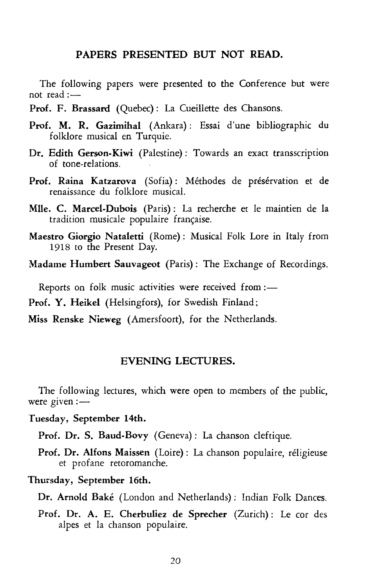#### PAPERS PRESENTED BUT NOT READ.

The following papers were presented to the Conference but were not read: $-$ 

- Prof. F. Brassard (Quebec): La Cueillette des Chansons.
- Prof. M. R. Gazimihal (Ankara): Essai d'une bibliographic du folklore musical en Turquie.
- Dr. Edith Gerson-Kiwi (Palestine): Towards an exact transscription of tone-relations.
- Prof. Raina Katzarova (Sofia): Méthodes de présérvation et de renaissance du folklore musical.
- Mlle. C. Marcel-Dubois (Paris): La recherche et le maintien de la tradition musicale populaire française.
- Maestro Giorgio Nataletti (Rome) : Musical Folk Lore in Italy from 1918 to the Present Day.
- Madame Humbert Sauvageot (Paris) : The Exchange of Recordings.

Reports on folk music activities were received from :-

Prof. Y. Heikel (Helsingfors), for Swedish Finland;

Miss Renske Nieweg (Amersfoort), for the Netherlands.

#### EVENING LECTURES.

The following lectures, which were open to members of the public, were given: $-$ 

Tuesday, September 14th.

Prof. Dr. S. Baud-Bovy (Geneva): La chanson cleftique.

Prof. Dr. Alfons Maissen (Loire): La chanson populaire, religieuse et profane retoromanche.

Thursday, September 16th.

Dr. Arnold Bake (London and Netherlands): Indian Folk Dances.

Prof. Dr. A. E. Cherbuliez de Sprecher (Zurich): Le cor des alpes et la chanson populaire.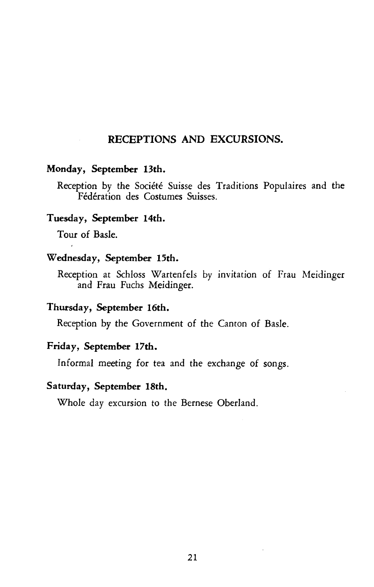### RECEPTIONS AND EXCURSIONS.

#### Monday, September 13th.

Reception by the Société Suisse des Traditions Populaires and the Federation des Costumes Suisses.

# Tuesday, September 14th.

Tour of Basle.

#### Wednesday, September 15th.

Reception at Schloss Wartenfels by invitation of Frau Meidinger and Frau Fuchs Meidinger.

### Thursday, September 16th.

Reception by the Government of the Canton of Basle.

### Friday, September 17th.

Informal meeting for tea and the exchange of songs.

#### Saturday, September 18th.

Whole day excursion to the Bernese Oberland.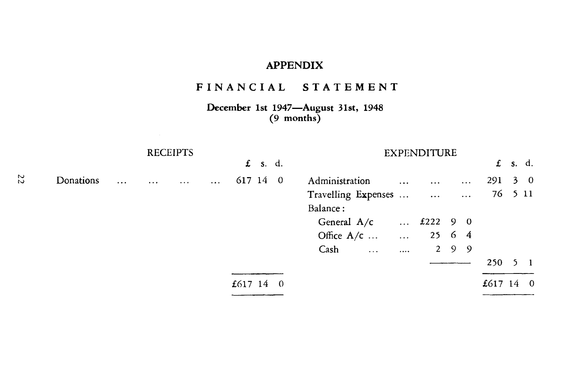# **APPENDIX**

# **FINANCIAL STATEMENT**

**December 1st 1947-August 31st, 1948 (9 months)** 

|    |           |           | <b>RECEIPTS</b> |          |            |                |           |  | <b>EXPENDITURE</b>         |          |                    |     |           |           |         |             |
|----|-----------|-----------|-----------------|----------|------------|----------------|-----------|--|----------------------------|----------|--------------------|-----|-----------|-----------|---------|-------------|
|    |           |           |                 |          |            |                | $f$ s. d. |  |                            |          |                    |     |           | £         | s. d.   |             |
| 22 | Donations | $\ddotsc$ | $\cdots$        | $\cdots$ | $\dddotsc$ | 617 14 0       |           |  | Administration             | $\cdots$ | $\cdots$           |     | $\ddots$  | 291       |         | $3 \quad 0$ |
|    |           |           |                 |          |            |                |           |  | Travelling Expenses        |          |                    |     | $\ddotsc$ |           | 76 5 11 |             |
|    |           |           |                 |          |            |                |           |  | Balance:                   |          |                    |     |           |           |         |             |
|    |           |           |                 |          |            |                |           |  | General $A/c$              |          | $£222$ 9 0         |     |           |           |         |             |
|    |           |           |                 |          |            |                |           |  | Office $A/c$<br>$\sim$ 111 |          | $25\quad 6\quad 4$ |     |           |           |         |             |
|    |           |           |                 |          |            |                |           |  | Cash<br>$\ddotsc$          |          |                    | 299 |           |           |         |             |
|    |           |           |                 |          |            |                |           |  |                            |          |                    |     |           | 250       |         |             |
|    |           |           |                 |          |            | £617 14 $\,$ 0 |           |  |                            |          |                    |     |           | £617 14 0 |         |             |
|    |           |           |                 |          |            |                |           |  |                            |          |                    |     |           |           |         |             |